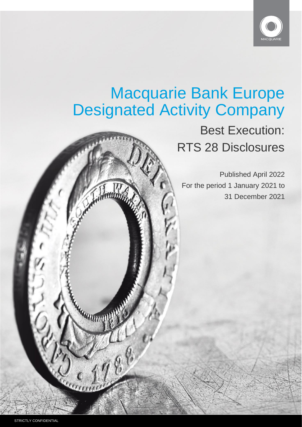

# Macquarie Bank Europe Designated Activity Company

# Best Execution: RTS 28 Disclosures

Published April 2022 For the period 1 January 2021 to 31 December 2021

Kanaanna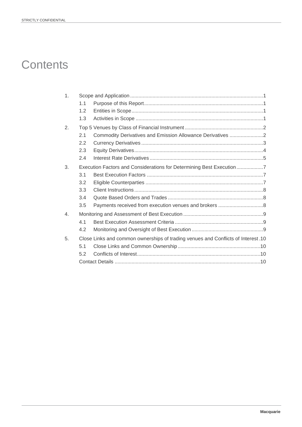# **Contents**

| 1.               |     |                                                                                  |  |
|------------------|-----|----------------------------------------------------------------------------------|--|
|                  | 1.1 |                                                                                  |  |
|                  | 1.2 |                                                                                  |  |
|                  | 1.3 |                                                                                  |  |
| 2.               |     |                                                                                  |  |
|                  | 2.1 | Commodity Derivatives and Emission Allowance Derivatives 2                       |  |
|                  | 2.2 |                                                                                  |  |
|                  | 2.3 |                                                                                  |  |
|                  | 2.4 |                                                                                  |  |
| 3.               |     | Execution Factors and Considerations for Determining Best Execution7             |  |
|                  | 3.1 |                                                                                  |  |
|                  | 3.2 |                                                                                  |  |
|                  | 3.3 |                                                                                  |  |
|                  | 3.4 |                                                                                  |  |
|                  | 3.5 |                                                                                  |  |
| $\overline{4}$ . |     |                                                                                  |  |
|                  | 4.1 |                                                                                  |  |
|                  | 4.2 |                                                                                  |  |
| 5.               |     | Close Links and common ownerships of trading venues and Conflicts of Interest.10 |  |
|                  | 5.1 |                                                                                  |  |
|                  | 5.2 |                                                                                  |  |
|                  |     |                                                                                  |  |
|                  |     |                                                                                  |  |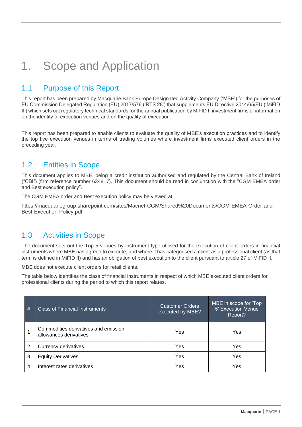# <span id="page-2-0"></span>1. Scope and Application

# <span id="page-2-1"></span>1.1 Purpose of this Report

This report has been prepared by Macquarie Bank Europe Designated Activity Company ('MBE') for the purposes of EU Commission Delegated Regulation (EU) 2017/576 ('RTS 28') that supplements EU Directive 2014/65/EU ('MiFID II') which sets out regulatory technical standards for the annual publication by MiFID II investment firms of information on the identity of execution venues and on the quality of execution.

This report has been prepared to enable clients to evaluate the quality of MBE's execution practices and to identify the top five execution venues in terms of trading volumes where investment firms executed client orders in the preceding year.

# <span id="page-2-2"></span>1.2 Entities in Scope

This document applies to MBE, being a credit institution authorised and regulated by the Central Bank of Ireland ("CBI") (firm reference number 634817). This document should be read in conjunction with the "CGM EMEA order and Best execution policy".

The [CGM EMEA order and Best execution policy](https://static.macquarie.com/dafiles/Internet/mgl/global/shared/about/disclosures/docs/EMEA-Order-Execution-Policy.pdf?v=2) may be viewed at:

[https://macquariegroup.sharepoint.com/sites/Macnet-CGM/Shared%20Documents/CGM-EMEA-Order-and-](https://macquariegroup.sharepoint.com/sites/Macnet-CGM/Shared%20Documents/CGM-EMEA-Order-and-Best-Execution-Policy.pdf)[Best-Execution-Policy.pdf](https://macquariegroup.sharepoint.com/sites/Macnet-CGM/Shared%20Documents/CGM-EMEA-Order-and-Best-Execution-Policy.pdf)

# <span id="page-2-3"></span>1.3 Activities in Scope

The document sets out the Top 5 venues by instrument type utilised for the execution of client orders in financial instruments where MBE has agreed to execute, and where it has categorised a client as a professional client (as that term is defined in MiFID II) and has an obligation of best execution to the client pursuant to article 27 of MiFID II.

MBE does not execute client orders for retail clients.

The table below identifies the class of financial instruments in respect of which MBE executed client orders for professional clients during the period to which this report relates.

| # | <b>Class of Financial Instruments</b>                          | <b>Customer Orders</b><br>executed by MBE? | MBE in scope for 'Top<br>5' Execution Venue<br>Report? |  |
|---|----------------------------------------------------------------|--------------------------------------------|--------------------------------------------------------|--|
|   | Commodities derivatives and emission<br>allowances derivatives | Yes                                        | Yes                                                    |  |
| 2 | Currency derivatives                                           | Yes                                        | Yes                                                    |  |
| 3 | <b>Equity Derivatives</b>                                      | Yes                                        | Yes                                                    |  |
| 4 | Interest rates derivatives                                     | Yes                                        | Yes                                                    |  |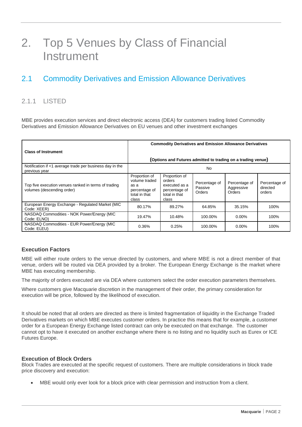# <span id="page-3-0"></span>2. Top 5 Venues by Class of Financial **Instrument**

# <span id="page-3-1"></span>2.1 Commodity Derivatives and Emission Allowance Derivatives

### 2.1.1 LISTED

MBE provides execution services and direct electronic access (DEA) for customers trading listed Commodity Derivatives and Emission Allowance Derivatives on EU venues and other investment exchanges

|                                                                                    | <b>Commodity Derivatives and Emission Allowance Derivatives</b>                   |                                                                                     |                                    |                                                              |                                     |
|------------------------------------------------------------------------------------|-----------------------------------------------------------------------------------|-------------------------------------------------------------------------------------|------------------------------------|--------------------------------------------------------------|-------------------------------------|
| <b>Class of Instrument</b>                                                         |                                                                                   |                                                                                     |                                    |                                                              |                                     |
|                                                                                    |                                                                                   |                                                                                     |                                    | (Options and Futures admitted to trading on a trading venue) |                                     |
| Notification if <1 average trade per business day in the<br>previous year          | No                                                                                |                                                                                     |                                    |                                                              |                                     |
| Top five execution venues ranked in terms of trading<br>volumes (descending order) | Proportion of<br>volume traded<br>as a<br>percentage of<br>total in that<br>class | Proportion of<br>orders<br>executed as a<br>percentage of<br>total in that<br>class | Percentage of<br>Passive<br>Orders | Percentage of<br>Aggressive<br>Orders                        | Percentage of<br>directed<br>orders |
| European Energy Exchange - Regulated Market (MIC<br>Code: XEER)                    | 80.17%                                                                            | 89.27%                                                                              | 64.85%                             | 35.15%                                                       | 100%                                |
| NASDAQ Commodities - NOK Power/Energy (MIC<br>Code: ELNO)                          | 19.47%                                                                            | 10.48%                                                                              | 100.00%                            | $0.00\%$                                                     | 100%                                |
| NASDAQ Commodities - EUR Power/Energy (MIC<br>Code: ELEU)                          | 0.36%                                                                             | 0.25%                                                                               | 100.00%                            | $0.00\%$                                                     | 100%                                |

#### **Execution Factors**

MBE will either route orders to the venue directed by customers, and where MBE is not a direct member of that venue, orders will be routed via DEA provided by a broker. The European Energy Exchange is the market where MBE has executing membership.

The majority of orders executed are via DEA where customers select the order execution parameters themselves.

Where customers give Macquarie discretion in the management of their order, the primary consideration for execution will be price, followed by the likelihood of execution.

It should be noted that all orders are directed as there is limited fragmentation of liquidity in the Exchange Traded Derivatives markets on which MBE executes customer orders. In practice this means that for example, a customer order for a European Energy Exchange listed contract can only be executed on that exchange. The customer cannot opt to have it executed on another exchange where there is no listing and no liquidity such as Eurex or ICE Futures Europe.

#### **Execution of Block Orders**

Block Trades are executed at the specific request of customers. There are multiple considerations in block trade price discovery and execution:

• MBE would only ever look for a block price with clear permission and instruction from a client.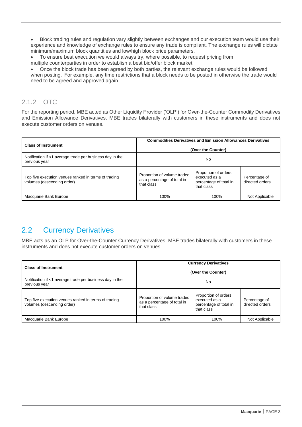• Block trading rules and regulation vary slightly between exchanges and our execution team would use their experience and knowledge of exchange rules to ensure any trade is compliant. The exchange rules will dictate minimum/maximum block quantities and low/high block price parameters.

• To ensure best execution we would always try, where possible, to request pricing from multiple counterparties in order to establish a best bid/offer block market.

• Once the block trade has been agreed by both parties, the relevant exchange rules would be followed when posting.  For example, any time restrictions that a block needs to be posted in otherwise the trade would need to be agreed and approved again.

### 2.1.2 OTC

For the reporting period, MBE acted as Other Liquidity Provider ('OLP') for Over-the-Counter Commodity Derivatives and Emission Allowance Derivatives. MBE trades bilaterally with customers in these instruments and does not execute customer orders on venues.

| <b>Class of Instrument</b>                                                         | <b>Commodities Derivatives and Emission Allowances Derivatives</b><br>(Over the Counter) |                                                                               |                                  |  |
|------------------------------------------------------------------------------------|------------------------------------------------------------------------------------------|-------------------------------------------------------------------------------|----------------------------------|--|
| Notification if <1 average trade per business day in the<br>previous year          | No                                                                                       |                                                                               |                                  |  |
| Top five execution venues ranked in terms of trading<br>volumes (descending order) | Proportion of volume traded<br>as a percentage of total in<br>that class                 | Proportion of orders<br>executed as a<br>percentage of total in<br>that class | Percentage of<br>directed orders |  |
| Macquarie Bank Europe                                                              | 100%                                                                                     | 100%                                                                          | Not Applicable                   |  |

# <span id="page-4-0"></span>2.2 Currency Derivatives

MBE acts as an OLP for Over-the-Counter Currency Derivatives. MBE trades bilaterally with customers in these instruments and does not execute customer orders on venues.

| <b>Class of Instrument</b>                                                         | <b>Currency Derivatives</b>                                              |                                                                               |                                  |  |  |
|------------------------------------------------------------------------------------|--------------------------------------------------------------------------|-------------------------------------------------------------------------------|----------------------------------|--|--|
|                                                                                    | (Over the Counter)                                                       |                                                                               |                                  |  |  |
| Notification if <1 average trade per business day in the<br>previous year          | No                                                                       |                                                                               |                                  |  |  |
| Top five execution venues ranked in terms of trading<br>volumes (descending order) | Proportion of volume traded<br>as a percentage of total in<br>that class | Proportion of orders<br>executed as a<br>percentage of total in<br>that class | Percentage of<br>directed orders |  |  |
| Macquarie Bank Europe                                                              | 100%                                                                     | 100%                                                                          | Not Applicable                   |  |  |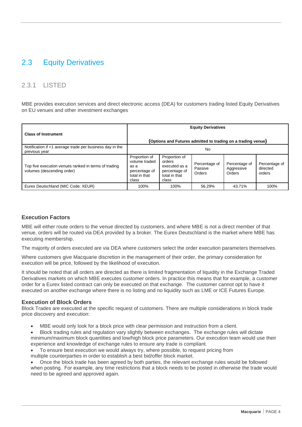# <span id="page-5-0"></span>2.3 Equity Derivatives

### 2.3.1 LISTED

MBE provides execution services and direct electronic access (DEA) for customers trading listed Equity Derivatives on EU venues and other investment exchanges

|                                                                                    | <b>Equity Derivatives</b>                                                         |                                                                                     |                                                              |                                       |                                     |
|------------------------------------------------------------------------------------|-----------------------------------------------------------------------------------|-------------------------------------------------------------------------------------|--------------------------------------------------------------|---------------------------------------|-------------------------------------|
| <b>Class of Instrument</b>                                                         |                                                                                   |                                                                                     | (Options and Futures admitted to trading on a trading venue) |                                       |                                     |
| Notification if <1 average trade per business day in the<br>previous year          | No                                                                                |                                                                                     |                                                              |                                       |                                     |
| Top five execution venues ranked in terms of trading<br>volumes (descending order) | Proportion of<br>volume traded<br>as a<br>percentage of<br>total in that<br>class | Proportion of<br>orders<br>executed as a<br>percentage of<br>total in that<br>class | Percentage of<br>Passive<br>Orders                           | Percentage of<br>Aggressive<br>Orders | Percentage of<br>directed<br>orders |
| Eurex Deutschland (MIC Code: XEUR)                                                 | 100%                                                                              | 100%                                                                                | 56.29%                                                       | 43.71%                                | 100%                                |

#### **Execution Factors**

MBE will either route orders to the venue directed by customers, and where MBE is not a direct member of that venue, orders will be routed via DEA provided by a broker. The Eurex Deutschland is the market where MBE has executing membership.

The majority of orders executed are via DEA where customers select the order execution parameters themselves.

Where customers give Macquarie discretion in the management of their order, the primary consideration for execution will be price, followed by the likelihood of execution.

It should be noted that all orders are directed as there is limited fragmentation of liquidity in the Exchange Traded Derivatives markets on which MBE executes customer orders. In practice this means that for example, a customer order for a Eurex listed contract can only be executed on that exchange. The customer cannot opt to have it executed on another exchange where there is no listing and no liquidity such as LME or ICE Futures Europe.

#### **Execution of Block Orders**

Block Trades are executed at the specific request of customers. There are multiple considerations in block trade price discovery and execution:

• MBE would only look for a block price with clear permission and instruction from a client.

• Block trading rules and regulation vary slightly between exchanges. The exchange rules will dictate minimum/maximum block quantities and low/high block price parameters. Our execution team would use their experience and knowledge of exchange rules to ensure any trade is compliant.

- To ensure best execution we would always try, where possible, to request pricing from
- multiple counterparties in order to establish a best bid/offer block market.

• Once the block trade has been agreed by both parties, the relevant exchange rules would be followed when posting.  For example, any time restrictions that a block needs to be posted in otherwise the trade would need to be agreed and approved again.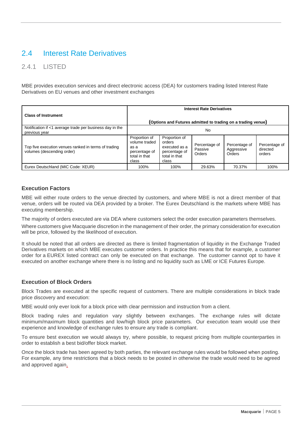# <span id="page-6-0"></span>2.4 Interest Rate Derivatives

### 2.4.1 LISTED

MBE provides execution services and direct electronic access (DEA) for customers trading listed Interest Rate Derivatives on EU venues and other investment exchanges

|                                                                                    | <b>Interest Rate Derivatives</b>                                                  |                                                                                     |                                    |                                       |                                     |
|------------------------------------------------------------------------------------|-----------------------------------------------------------------------------------|-------------------------------------------------------------------------------------|------------------------------------|---------------------------------------|-------------------------------------|
| <b>Class of Instrument</b>                                                         |                                                                                   | (Options and Futures admitted to trading on a trading venue)                        |                                    |                                       |                                     |
| Notification if <1 average trade per business day in the<br>previous year          | No                                                                                |                                                                                     |                                    |                                       |                                     |
| Top five execution venues ranked in terms of trading<br>volumes (descending order) | Proportion of<br>volume traded<br>as a<br>percentage of<br>total in that<br>class | Proportion of<br>orders<br>executed as a<br>percentage of<br>total in that<br>class | Percentage of<br>Passive<br>Orders | Percentage of<br>Aggressive<br>Orders | Percentage of<br>directed<br>orders |
| Eurex Deutschland (MIC Code: XEUR)                                                 | 100%                                                                              | 100%                                                                                | 29.63%                             | 70.37%                                | 100%                                |

#### **Execution Factors**

MBE will either route orders to the venue directed by customers, and where MBE is not a direct member of that venue, orders will be routed via DEA provided by a broker. The Eurex Deutschland is the markets where MBE has executing membership.

The majority of orders executed are via DEA where customers select the order execution parameters themselves.

Where customers give Macquarie discretion in the management of their order, the primary consideration for execution will be price, followed by the likelihood of execution.

It should be noted that all orders are directed as there is limited fragmentation of liquidity in the Exchange Traded Derivatives markets on which MBE executes customer orders. In practice this means that for example, a customer order for a EUREX listed contract can only be executed on that exchange. The customer cannot opt to have it executed on another exchange where there is no listing and no liquidity such as LME or ICE Futures Europe.

#### **Execution of Block Orders**

Block Trades are executed at the specific request of customers. There are multiple considerations in block trade price discovery and execution:

MBE would only ever look for a block price with clear permission and instruction from a client.

Block trading rules and regulation vary slightly between exchanges. The exchange rules will dictate minimum/maximum block quantities and low/high block price parameters. Our execution team would use their experience and knowledge of exchange rules to ensure any trade is compliant.

To ensure best execution we would always try, where possible, to request pricing from multiple counterparties in order to establish a best bid/offer block market.

Once the block trade has been agreed by both parties, the relevant exchange rules would be followed when posting.  For example, any time restrictions that a block needs to be posted in otherwise the trade would need to be agreed and approved again.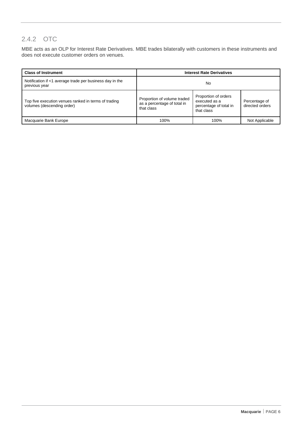### 2.4.2 OTC

MBE acts as an OLP for Interest Rate Derivatives. MBE trades bilaterally with customers in these instruments and does not execute customer orders on venues.

| <b>Class of Instrument</b>                                                         | <b>Interest Rate Derivatives</b>                                         |                                                                               |                                  |  |
|------------------------------------------------------------------------------------|--------------------------------------------------------------------------|-------------------------------------------------------------------------------|----------------------------------|--|
| Notification if <1 average trade per business day in the<br>previous year          | No                                                                       |                                                                               |                                  |  |
| Top five execution venues ranked in terms of trading<br>volumes (descending order) | Proportion of volume traded<br>as a percentage of total in<br>that class | Proportion of orders<br>executed as a<br>percentage of total in<br>that class | Percentage of<br>directed orders |  |
| Macquarie Bank Europe                                                              | 100%                                                                     | 100%                                                                          | Not Applicable                   |  |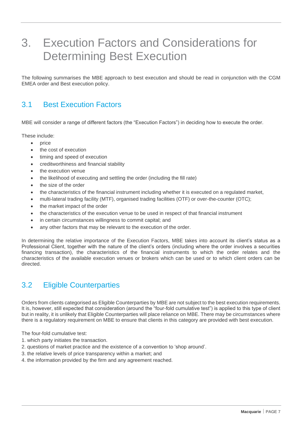# <span id="page-8-0"></span>3. Execution Factors and Considerations for Determining Best Execution

The following summarises the MBE approach to best execution and should be read in conjunction with the CGM EMEA order and Best execution policy.

# <span id="page-8-1"></span>3.1 Best Execution Factors

MBE will consider a range of different factors (the "Execution Factors") in deciding how to execute the order.

These include:

- price
- the cost of execution
- timing and speed of execution
- creditworthiness and financial stability
- the execution venue
- the likelihood of executing and settling the order (including the fill rate)
- the size of the order
- the characteristics of the financial instrument including whether it is executed on a regulated market,
- multi-lateral trading facility (MTF), organised trading facilities (OTF) or over-the-counter (OTC);
- the market impact of the order
- the characteristics of the execution venue to be used in respect of that financial instrument
- in certain circumstances willingness to commit capital; and
- any other factors that may be relevant to the execution of the order.

In determining the relative importance of the Execution Factors, MBE takes into account its client's status as a Professional Client, together with the nature of the client's orders (including where the order involves a securities financing transaction), the characteristics of the financial instruments to which the order relates and the characteristics of the available execution venues or brokers which can be used or to which client orders can be directed.

# <span id="page-8-2"></span>3.2 Eligible Counterparties

Orders from clients categorised as Eligible Counterparties by MBE are not subject to the best execution requirements. It is, however, still expected that consideration (around the "four-fold cumulative test") is applied to this type of client but in reality, it is unlikely that Eligible Counterparties will place reliance on MBE. There may be circumstances where there is a regulatory requirement on MBE to ensure that clients in this category are provided with best execution.

The four-fold cumulative test:

- 1. which party initiates the transaction.
- 2. questions of market practice and the existence of a convention to 'shop around'.
- 3. the relative levels of price transparency within a market; and
- 4. the information provided by the firm and any agreement reached.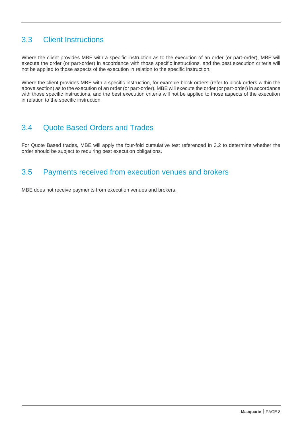# <span id="page-9-0"></span>3.3 Client Instructions

Where the client provides MBE with a specific instruction as to the execution of an order (or part-order), MBE will execute the order (or part-order) in accordance with those specific instructions, and the best execution criteria will not be applied to those aspects of the execution in relation to the specific instruction.

Where the client provides MBE with a specific instruction, for example block orders (refer to block orders within the above section) as to the execution of an order (or part-order), MBE will execute the order (or part-order) in accordance with those specific instructions, and the best execution criteria will not be applied to those aspects of the execution in relation to the specific instruction.

### <span id="page-9-1"></span>3.4 Quote Based Orders and Trades

For Quote Based trades, MBE will apply the four-fold cumulative test referenced in [3.2](#page-8-2) to determine whether the order should be subject to requiring best execution obligations.

# <span id="page-9-2"></span>3.5 Payments received from execution venues and brokers

MBE does not receive payments from execution venues and brokers.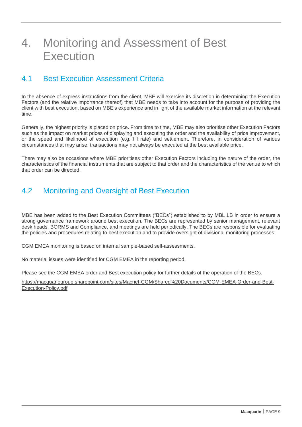# <span id="page-10-0"></span>4. Monitoring and Assessment of Best **Execution**

## <span id="page-10-1"></span>4.1 Best Execution Assessment Criteria

In the absence of express instructions from the client, MBE will exercise its discretion in determining the Execution Factors (and the relative importance thereof) that MBE needs to take into account for the purpose of providing the client with best execution, based on MBE's experience and in light of the available market information at the relevant time.

Generally, the highest priority is placed on price. From time to time, MBE may also prioritise other Execution Factors such as the impact on market prices of displaying and executing the order and the availability of price improvement, or the speed and likelihood of execution (e.g. fill rate) and settlement. Therefore, in consideration of various circumstances that may arise, transactions may not always be executed at the best available price.

There may also be occasions where MBE prioritises other Execution Factors including the nature of the order, the characteristics of the financial instruments that are subject to that order and the characteristics of the venue to which that order can be directed.

# <span id="page-10-2"></span>4.2 Monitoring and Oversight of Best Execution

MBE has been added to the Best Execution Committees ("BECs") established to by MBL LB in order to ensure a strong governance framework around best execution. The BECs are represented by senior management, relevant desk heads, BORMS and Compliance, and meetings are held periodically. The BECs are responsible for evaluating the policies and procedures relating to best execution and to provide oversight of divisional monitoring processes.

CGM EMEA monitoring is based on internal sample-based self-assessments.

No material issues were identified for CGM EMEA in the reporting period.

Please see the CGM EMEA order and Best execution policy for further details of the operation of the BECs.

[https://macquariegroup.sharepoint.com/sites/Macnet-CGM/Shared%20Documents/CGM-EMEA-Order-and-Best-](https://macquariegroup.sharepoint.com/sites/Macnet-CGM/Shared%20Documents/CGM-EMEA-Order-and-Best-Execution-Policy.pdf)[Execution-Policy.pdf](https://macquariegroup.sharepoint.com/sites/Macnet-CGM/Shared%20Documents/CGM-EMEA-Order-and-Best-Execution-Policy.pdf)